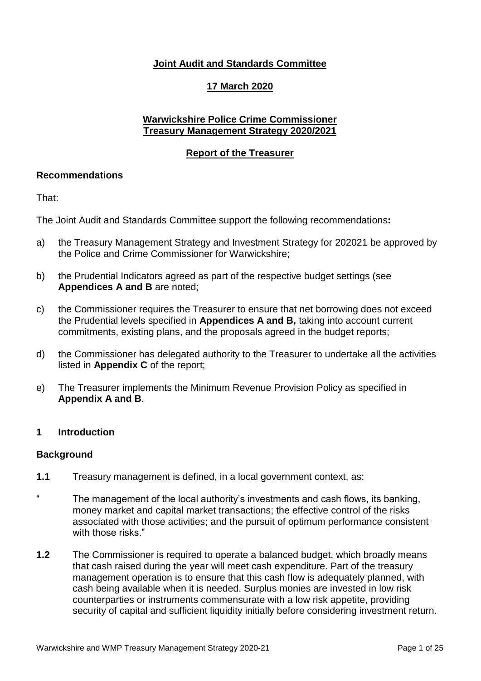# **Joint Audit and Standards Committee**

## **17 March 2020**

## **Warwickshire Police Crime Commissioner Treasury Management Strategy 2020/2021**

### **Report of the Treasurer**

### **Recommendations**

That:

The Joint Audit and Standards Committee support the following recommendations**:**

- a) the Treasury Management Strategy and Investment Strategy for 202021 be approved by the Police and Crime Commissioner for Warwickshire;
- b) the Prudential Indicators agreed as part of the respective budget settings (see **Appendices A and B** are noted;
- c) the Commissioner requires the Treasurer to ensure that net borrowing does not exceed the Prudential levels specified in **Appendices A and B,** taking into account current commitments, existing plans, and the proposals agreed in the budget reports;
- d) the Commissioner has delegated authority to the Treasurer to undertake all the activities listed in **Appendix C** of the report;
- e) The Treasurer implements the Minimum Revenue Provision Policy as specified in **Appendix A and B**.

## **1 Introduction**

### **Background**

- **1.1** Treasury management is defined, in a local government context, as:
- " The management of the local authority's investments and cash flows, its banking, money market and capital market transactions; the effective control of the risks associated with those activities; and the pursuit of optimum performance consistent with those risks."
- **1.2** The Commissioner is required to operate a balanced budget, which broadly means that cash raised during the year will meet cash expenditure. Part of the treasury management operation is to ensure that this cash flow is adequately planned, with cash being available when it is needed. Surplus monies are invested in low risk counterparties or instruments commensurate with a low risk appetite, providing security of capital and sufficient liquidity initially before considering investment return.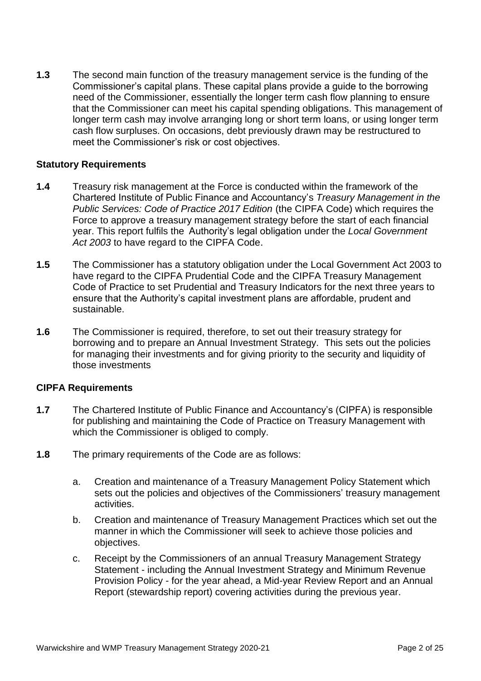**1.3** The second main function of the treasury management service is the funding of the Commissioner's capital plans. These capital plans provide a guide to the borrowing need of the Commissioner, essentially the longer term cash flow planning to ensure that the Commissioner can meet his capital spending obligations. This management of longer term cash may involve arranging long or short term loans, or using longer term cash flow surpluses. On occasions, debt previously drawn may be restructured to meet the Commissioner's risk or cost objectives.

### **Statutory Requirements**

- **1.4** Treasury risk management at the Force is conducted within the framework of the Chartered Institute of Public Finance and Accountancy's *Treasury Management in the Public Services: Code of Practice 2017 Edition* (the CIPFA Code) which requires the Force to approve a treasury management strategy before the start of each financial year. This report fulfils the Authority's legal obligation under the *Local Government Act 2003* to have regard to the CIPFA Code.
- **1.5** The Commissioner has a statutory obligation under the Local Government Act 2003 to have regard to the CIPFA Prudential Code and the CIPFA Treasury Management Code of Practice to set Prudential and Treasury Indicators for the next three years to ensure that the Authority's capital investment plans are affordable, prudent and sustainable.
- **1.6** The Commissioner is required, therefore, to set out their treasury strategy for borrowing and to prepare an Annual Investment Strategy. This sets out the policies for managing their investments and for giving priority to the security and liquidity of those investments

### **CIPFA Requirements**

- **1.7** The Chartered Institute of Public Finance and Accountancy's (CIPFA) is responsible for publishing and maintaining the Code of Practice on Treasury Management with which the Commissioner is obliged to comply.
- **1.8** The primary requirements of the Code are as follows:
	- a. Creation and maintenance of a Treasury Management Policy Statement which sets out the policies and objectives of the Commissioners' treasury management activities.
	- b. Creation and maintenance of Treasury Management Practices which set out the manner in which the Commissioner will seek to achieve those policies and objectives.
	- c. Receipt by the Commissioners of an annual Treasury Management Strategy Statement - including the Annual Investment Strategy and Minimum Revenue Provision Policy - for the year ahead, a Mid-year Review Report and an Annual Report (stewardship report) covering activities during the previous year.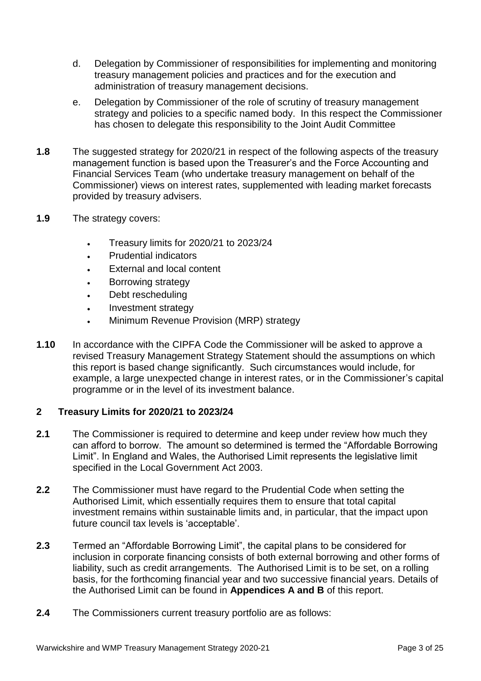- d. Delegation by Commissioner of responsibilities for implementing and monitoring treasury management policies and practices and for the execution and administration of treasury management decisions.
- e. Delegation by Commissioner of the role of scrutiny of treasury management strategy and policies to a specific named body. In this respect the Commissioner has chosen to delegate this responsibility to the Joint Audit Committee
- **1.8** The suggested strategy for 2020/21 in respect of the following aspects of the treasury management function is based upon the Treasurer's and the Force Accounting and Financial Services Team (who undertake treasury management on behalf of the Commissioner) views on interest rates, supplemented with leading market forecasts provided by treasury advisers.
- **1.9** The strategy covers:
	- Treasury limits for 2020/21 to 2023/24
	- Prudential indicators
	- External and local content
	- Borrowing strategy
	- Debt rescheduling
	- Investment strategy
	- Minimum Revenue Provision (MRP) strategy
- **1.10** In accordance with the CIPFA Code the Commissioner will be asked to approve a revised Treasury Management Strategy Statement should the assumptions on which this report is based change significantly. Such circumstances would include, for example, a large unexpected change in interest rates, or in the Commissioner's capital programme or in the level of its investment balance.

## **2 Treasury Limits for 2020/21 to 2023/24**

- **2.1** The Commissioner is required to determine and keep under review how much they can afford to borrow. The amount so determined is termed the "Affordable Borrowing Limit". In England and Wales, the Authorised Limit represents the legislative limit specified in the Local Government Act 2003.
- **2.2** The Commissioner must have regard to the Prudential Code when setting the Authorised Limit, which essentially requires them to ensure that total capital investment remains within sustainable limits and, in particular, that the impact upon future council tax levels is 'acceptable'.
- **2.3** Termed an "Affordable Borrowing Limit", the capital plans to be considered for inclusion in corporate financing consists of both external borrowing and other forms of liability, such as credit arrangements. The Authorised Limit is to be set, on a rolling basis, for the forthcoming financial year and two successive financial years. Details of the Authorised Limit can be found in **Appendices A and B** of this report.
- **2.4** The Commissioners current treasury portfolio are as follows: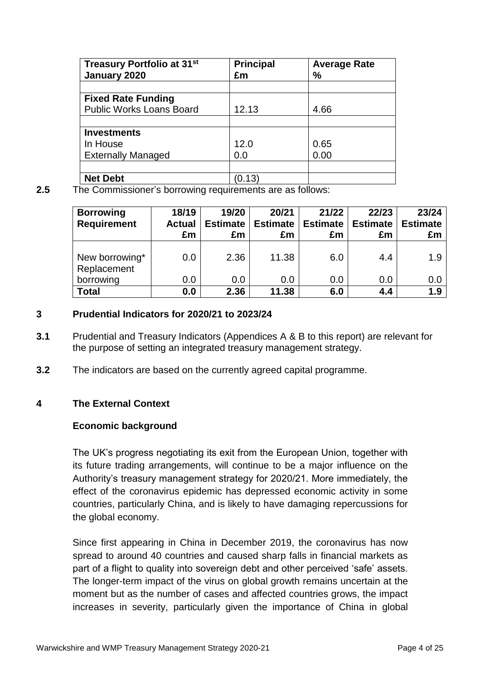| Treasury Portfolio at 31 <sup>st</sup> | <b>Principal</b> | <b>Average Rate</b> |
|----------------------------------------|------------------|---------------------|
| January 2020                           | £m               | %                   |
|                                        |                  |                     |
| <b>Fixed Rate Funding</b>              |                  |                     |
| <b>Public Works Loans Board</b>        | 12.13            | 4.66                |
|                                        |                  |                     |
| <b>Investments</b>                     |                  |                     |
| In House                               | 12.0             | 0.65                |
| <b>Externally Managed</b>              | 0.0              | 0.00                |
|                                        |                  |                     |
| <b>Net Debt</b>                        | (0.13)           |                     |

**2.5** The Commissioner's borrowing requirements are as follows:

| <b>Borrowing</b><br><b>Requirement</b> | 18/19<br><b>Actual</b><br>£m | 19/20<br><b>Estimate</b><br>£m | 20/21<br><b>Estimate</b><br>£m | 21/22<br><b>Estimate</b><br>£m | 22/23<br><b>Estimate</b><br>£m | 23/24<br><b>Estimate</b><br>£m |
|----------------------------------------|------------------------------|--------------------------------|--------------------------------|--------------------------------|--------------------------------|--------------------------------|
| New borrowing*<br>Replacement          | 0.0                          | 2.36                           | 11.38                          | 6.0                            | 4.4                            | 1.9                            |
| borrowing                              | 0.0                          | 0.0                            | 0.0                            | 0.0                            | 0.0                            | 0.0                            |
| <b>Total</b>                           | 0.0                          | 2.36                           | 11.38                          | 6.0                            | 4.4                            | 1.9                            |

## **3 Prudential Indicators for 2020/21 to 2023/24**

- **3.1** Prudential and Treasury Indicators (Appendices A & B to this report) are relevant for the purpose of setting an integrated treasury management strategy.
- **3.2** The indicators are based on the currently agreed capital programme.

## **4 The External Context**

### **Economic background**

The UK's progress negotiating its exit from the European Union, together with its future trading arrangements, will continue to be a major influence on the Authority's treasury management strategy for 2020/21. More immediately, the effect of the coronavirus epidemic has depressed economic activity in some countries, particularly China, and is likely to have damaging repercussions for the global economy.

Since first appearing in China in December 2019, the coronavirus has now spread to around 40 countries and caused sharp falls in financial markets as part of a flight to quality into sovereign debt and other perceived 'safe' assets. The longer-term impact of the virus on global growth remains uncertain at the moment but as the number of cases and affected countries grows, the impact increases in severity, particularly given the importance of China in global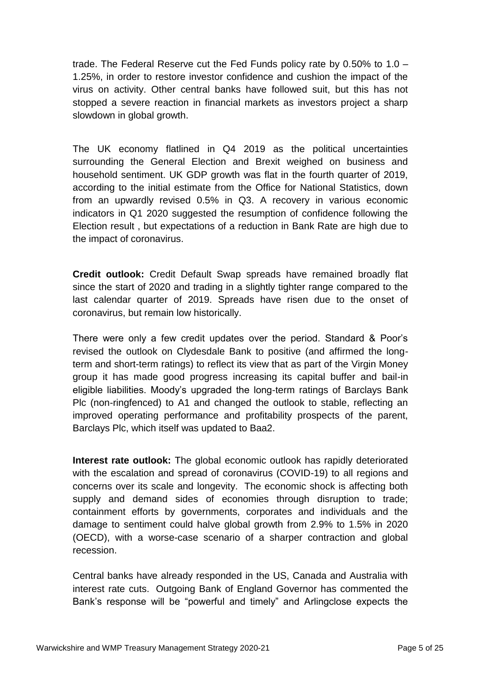trade. The Federal Reserve cut the Fed Funds policy rate by 0.50% to 1.0 – 1.25%, in order to restore investor confidence and cushion the impact of the virus on activity. Other central banks have followed suit, but this has not stopped a severe reaction in financial markets as investors project a sharp slowdown in global growth.

The UK economy flatlined in Q4 2019 as the political uncertainties surrounding the General Election and Brexit weighed on business and household sentiment. UK GDP growth was flat in the fourth quarter of 2019, according to the initial estimate from the Office for National Statistics, down from an upwardly revised 0.5% in Q3. A recovery in various economic indicators in Q1 2020 suggested the resumption of confidence following the Election result , but expectations of a reduction in Bank Rate are high due to the impact of coronavirus.

**Credit outlook:** Credit Default Swap spreads have remained broadly flat since the start of 2020 and trading in a slightly tighter range compared to the last calendar quarter of 2019. Spreads have risen due to the onset of coronavirus, but remain low historically.

There were only a few credit updates over the period. Standard & Poor's revised the outlook on Clydesdale Bank to positive (and affirmed the longterm and short-term ratings) to reflect its view that as part of the Virgin Money group it has made good progress increasing its capital buffer and bail-in eligible liabilities. Moody's upgraded the long-term ratings of Barclays Bank Plc (non-ringfenced) to A1 and changed the outlook to stable, reflecting an improved operating performance and profitability prospects of the parent, Barclays Plc, which itself was updated to Baa2.

**Interest rate outlook:** The global economic outlook has rapidly deteriorated with the escalation and spread of coronavirus (COVID-19) to all regions and concerns over its scale and longevity. The economic shock is affecting both supply and demand sides of economies through disruption to trade; containment efforts by governments, corporates and individuals and the damage to sentiment could halve global growth from 2.9% to 1.5% in 2020 (OECD), with a worse-case scenario of a sharper contraction and global recession.

Central banks have already responded in the US, Canada and Australia with interest rate cuts. Outgoing Bank of England Governor has commented the Bank's response will be "powerful and timely" and Arlingclose expects the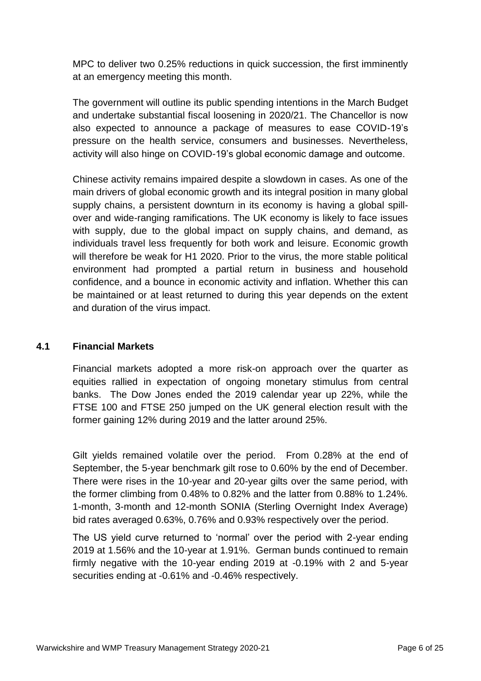MPC to deliver two 0.25% reductions in quick succession, the first imminently at an emergency meeting this month.

The government will outline its public spending intentions in the March Budget and undertake substantial fiscal loosening in 2020/21. The Chancellor is now also expected to announce a package of measures to ease COVID-19's pressure on the health service, consumers and businesses. Nevertheless, activity will also hinge on COVID-19's global economic damage and outcome.

Chinese activity remains impaired despite a slowdown in cases. As one of the main drivers of global economic growth and its integral position in many global supply chains, a persistent downturn in its economy is having a global spillover and wide-ranging ramifications. The UK economy is likely to face issues with supply, due to the global impact on supply chains, and demand, as individuals travel less frequently for both work and leisure. Economic growth will therefore be weak for H1 2020. Prior to the virus, the more stable political environment had prompted a partial return in business and household confidence, and a bounce in economic activity and inflation. Whether this can be maintained or at least returned to during this year depends on the extent and duration of the virus impact.

# **4.1 Financial Markets**

Financial markets adopted a more risk-on approach over the quarter as equities rallied in expectation of ongoing monetary stimulus from central banks. The Dow Jones ended the 2019 calendar year up 22%, while the FTSE 100 and FTSE 250 jumped on the UK general election result with the former gaining 12% during 2019 and the latter around 25%.

Gilt yields remained volatile over the period. From 0.28% at the end of September, the 5-year benchmark gilt rose to 0.60% by the end of December. There were rises in the 10-year and 20-year gilts over the same period, with the former climbing from 0.48% to 0.82% and the latter from 0.88% to 1.24%. 1-month, 3-month and 12-month SONIA (Sterling Overnight Index Average) bid rates averaged 0.63%, 0.76% and 0.93% respectively over the period.

The US yield curve returned to 'normal' over the period with 2-year ending 2019 at 1.56% and the 10-year at 1.91%. German bunds continued to remain firmly negative with the 10-year ending 2019 at -0.19% with 2 and 5-year securities ending at -0.61% and -0.46% respectively.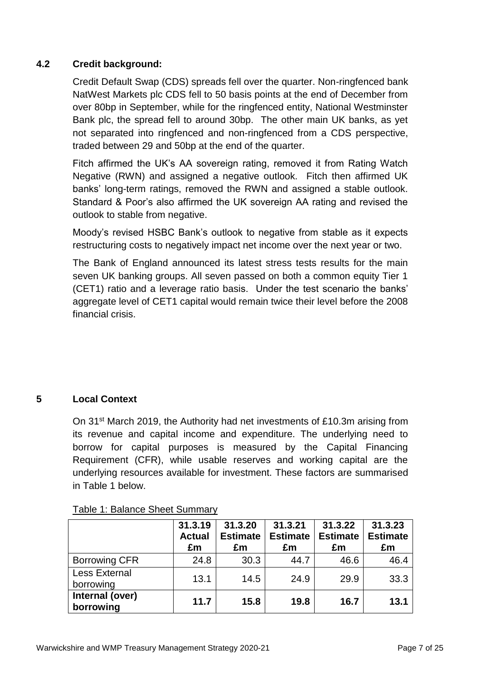# **4.2 Credit background:**

Credit Default Swap (CDS) spreads fell over the quarter. Non-ringfenced bank NatWest Markets plc CDS fell to 50 basis points at the end of December from over 80bp in September, while for the ringfenced entity, National Westminster Bank plc, the spread fell to around 30bp. The other main UK banks, as yet not separated into ringfenced and non-ringfenced from a CDS perspective, traded between 29 and 50bp at the end of the quarter.

Fitch affirmed the UK's AA sovereign rating, removed it from Rating Watch Negative (RWN) and assigned a negative outlook. Fitch then affirmed UK banks' long-term ratings, removed the RWN and assigned a stable outlook. Standard & Poor's also affirmed the UK sovereign AA rating and revised the outlook to stable from negative.

Moody's revised HSBC Bank's outlook to negative from stable as it expects restructuring costs to negatively impact net income over the next year or two.

The Bank of England announced its latest stress tests results for the main seven UK banking groups. All seven passed on both a common equity Tier 1 (CET1) ratio and a leverage ratio basis. Under the test scenario the banks' aggregate level of CET1 capital would remain twice their level before the 2008 financial crisis.

# **5 Local Context**

On 31st March 2019, the Authority had net investments of £10.3m arising from its revenue and capital income and expenditure. The underlying need to borrow for capital purposes is measured by the Capital Financing Requirement (CFR), while usable reserves and working capital are the underlying resources available for investment. These factors are summarised in Table 1 below.

|                                   | 31.3.19<br><b>Actual</b><br>£m | 31.3.20<br><b>Estimate</b><br>£m | 31.3.21<br><b>Estimate</b><br>£m | 31.3.22<br><b>Estimate</b><br>£m | 31.3.23<br><b>Estimate</b><br>£m |
|-----------------------------------|--------------------------------|----------------------------------|----------------------------------|----------------------------------|----------------------------------|
| <b>Borrowing CFR</b>              | 24.8                           | 30.3                             | 44.7                             | 46.6                             | 46.4                             |
| <b>Less External</b><br>borrowing | 13.1                           | 14.5                             | 24.9                             | 29.9                             | 33.3                             |
| Internal (over)<br>borrowing      | 11.7                           | 15.8                             | 19.8                             | 16.7                             | 13.1                             |

### Table 1: Balance Sheet Summary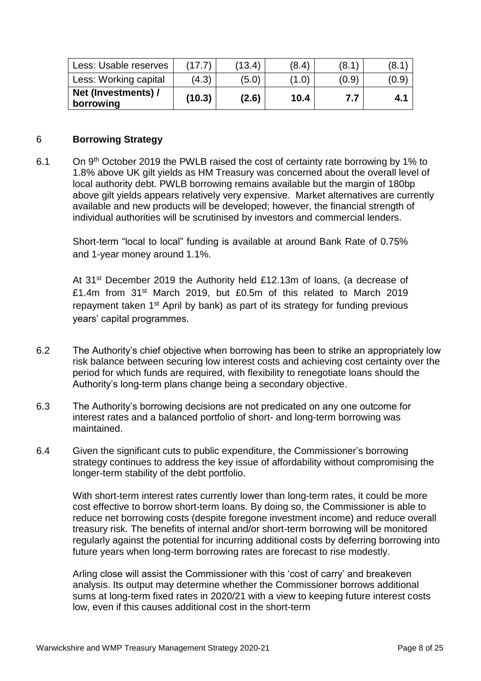| Less: Usable reserves            | (17.7) | (13.4) | (8.4) | (8.1) | (8.1  |
|----------------------------------|--------|--------|-------|-------|-------|
| Less: Working capital            | (4.3)  | (5.0)  | (1.0) | (0.9) | (0.9) |
| Net (Investments) /<br>borrowing | (10.3) | (2.6)  | 10.4  | 7.7   | 4.1   |

### 6 **Borrowing Strategy**

6.1 On 9th October 2019 the PWLB raised the cost of certainty rate borrowing by 1% to 1.8% above UK gilt yields as HM Treasury was concerned about the overall level of local authority debt. PWLB borrowing remains available but the margin of 180bp above gilt yields appears relatively very expensive. Market alternatives are currently available and new products will be developed; however, the financial strength of individual authorities will be scrutinised by investors and commercial lenders.

Short-term "local to local" funding is available at around Bank Rate of 0.75% and 1-year money around 1.1%.

At 31<sup>st</sup> December 2019 the Authority held £12.13m of loans, (a decrease of £1.4m from 31st March 2019, but £0.5m of this related to March 2019 repayment taken 1<sup>st</sup> April by bank) as part of its strategy for funding previous years' capital programmes.

- 6.2 The Authority's chief objective when borrowing has been to strike an appropriately low risk balance between securing low interest costs and achieving cost certainty over the period for which funds are required, with flexibility to renegotiate loans should the Authority's long-term plans change being a secondary objective.
- 6.3 The Authority's borrowing decisions are not predicated on any one outcome for interest rates and a balanced portfolio of short- and long-term borrowing was maintained.
- 6.4 Given the significant cuts to public expenditure, the Commissioner's borrowing strategy continues to address the key issue of affordability without compromising the longer-term stability of the debt portfolio.

With short-term interest rates currently lower than long-term rates, it could be more cost effective to borrow short-term loans. By doing so, the Commissioner is able to reduce net borrowing costs (despite foregone investment income) and reduce overall treasury risk. The benefits of internal and/or short-term borrowing will be monitored regularly against the potential for incurring additional costs by deferring borrowing into future years when long-term borrowing rates are forecast to rise modestly.

Arling close will assist the Commissioner with this 'cost of carry' and breakeven analysis. Its output may determine whether the Commissioner borrows additional sums at long-term fixed rates in 2020/21 with a view to keeping future interest costs low, even if this causes additional cost in the short-term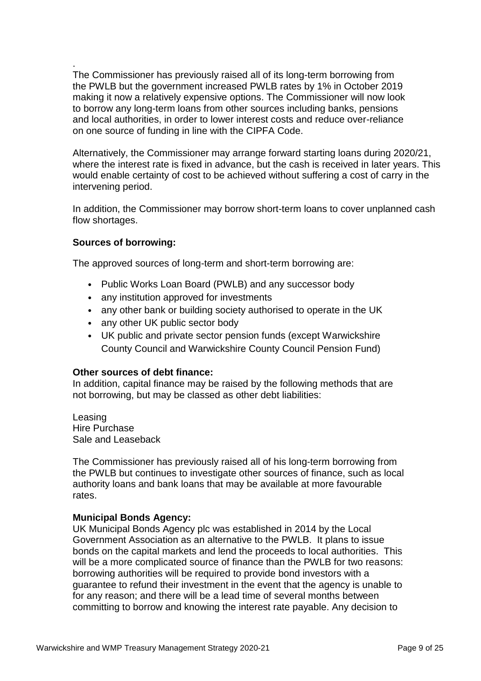. The Commissioner has previously raised all of its long-term borrowing from the PWLB but the government increased PWLB rates by 1% in October 2019 making it now a relatively expensive options. The Commissioner will now look to borrow any long-term loans from other sources including banks, pensions and local authorities, in order to lower interest costs and reduce over-reliance on one source of funding in line with the CIPFA Code.

Alternatively, the Commissioner may arrange forward starting loans during 2020/21, where the interest rate is fixed in advance, but the cash is received in later years. This would enable certainty of cost to be achieved without suffering a cost of carry in the intervening period.

In addition, the Commissioner may borrow short-term loans to cover unplanned cash flow shortages.

### **Sources of borrowing:**

The approved sources of long-term and short-term borrowing are:

- Public Works Loan Board (PWLB) and any successor body
- any institution approved for investments
- any other bank or building society authorised to operate in the UK
- any other UK public sector body
- UK public and private sector pension funds (except Warwickshire County Council and Warwickshire County Council Pension Fund)

### **Other sources of debt finance:**

In addition, capital finance may be raised by the following methods that are not borrowing, but may be classed as other debt liabilities:

Leasing Hire Purchase Sale and Leaseback

The Commissioner has previously raised all of his long-term borrowing from the PWLB but continues to investigate other sources of finance, such as local authority loans and bank loans that may be available at more favourable rates.

### **Municipal Bonds Agency:**

UK Municipal Bonds Agency plc was established in 2014 by the Local Government Association as an alternative to the PWLB. It plans to issue bonds on the capital markets and lend the proceeds to local authorities. This will be a more complicated source of finance than the PWLB for two reasons: borrowing authorities will be required to provide bond investors with a guarantee to refund their investment in the event that the agency is unable to for any reason; and there will be a lead time of several months between committing to borrow and knowing the interest rate payable. Any decision to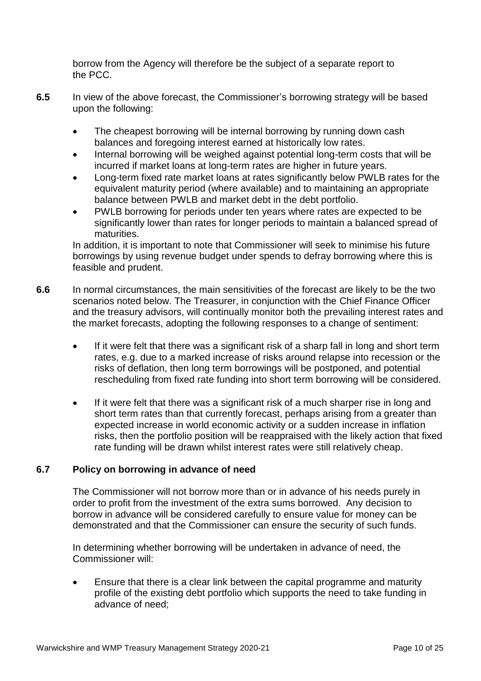borrow from the Agency will therefore be the subject of a separate report to the PCC.

- **6.5** In view of the above forecast, the Commissioner's borrowing strategy will be based upon the following:
	- The cheapest borrowing will be internal borrowing by running down cash balances and foregoing interest earned at historically low rates.
	- Internal borrowing will be weighed against potential long-term costs that will be incurred if market loans at long-term rates are higher in future years.
	- Long-term fixed rate market loans at rates significantly below PWLB rates for the equivalent maturity period (where available) and to maintaining an appropriate balance between PWLB and market debt in the debt portfolio.
	- PWLB borrowing for periods under ten years where rates are expected to be significantly lower than rates for longer periods to maintain a balanced spread of maturities.

In addition, it is important to note that Commissioner will seek to minimise his future borrowings by using revenue budget under spends to defray borrowing where this is feasible and prudent.

- **6.6** In normal circumstances, the main sensitivities of the forecast are likely to be the two scenarios noted below. The Treasurer, in conjunction with the Chief Finance Officer and the treasury advisors, will continually monitor both the prevailing interest rates and the market forecasts, adopting the following responses to a change of sentiment:
	- If it were felt that there was a significant risk of a sharp fall in long and short term rates, e.g. due to a marked increase of risks around relapse into recession or the risks of deflation, then long term borrowings will be postponed, and potential rescheduling from fixed rate funding into short term borrowing will be considered.
	- If it were felt that there was a significant risk of a much sharper rise in long and short term rates than that currently forecast, perhaps arising from a greater than expected increase in world economic activity or a sudden increase in inflation risks, then the portfolio position will be reappraised with the likely action that fixed rate funding will be drawn whilst interest rates were still relatively cheap.

## **6.7 Policy on borrowing in advance of need**

The Commissioner will not borrow more than or in advance of his needs purely in order to profit from the investment of the extra sums borrowed. Any decision to borrow in advance will be considered carefully to ensure value for money can be demonstrated and that the Commissioner can ensure the security of such funds.

In determining whether borrowing will be undertaken in advance of need, the Commissioner will:

 Ensure that there is a clear link between the capital programme and maturity profile of the existing debt portfolio which supports the need to take funding in advance of need;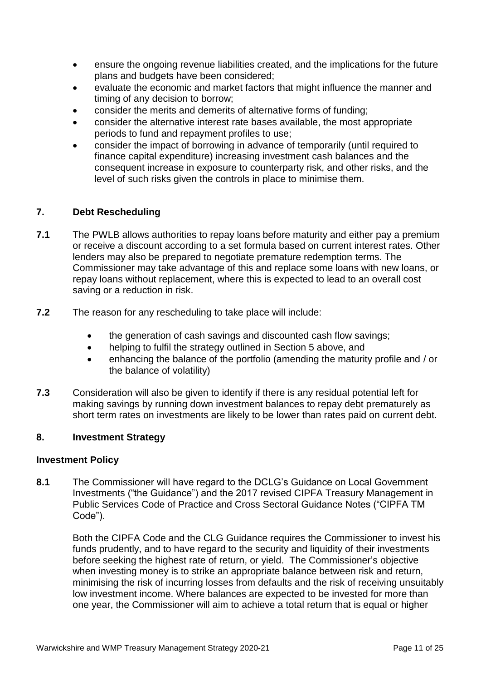- ensure the ongoing revenue liabilities created, and the implications for the future plans and budgets have been considered;
- evaluate the economic and market factors that might influence the manner and timing of any decision to borrow;
- consider the merits and demerits of alternative forms of funding;
- consider the alternative interest rate bases available, the most appropriate periods to fund and repayment profiles to use;
- consider the impact of borrowing in advance of temporarily (until required to finance capital expenditure) increasing investment cash balances and the consequent increase in exposure to counterparty risk, and other risks, and the level of such risks given the controls in place to minimise them.

## **7. Debt Rescheduling**

- **7.1** The PWLB allows authorities to repay loans before maturity and either pay a premium or receive a discount according to a set formula based on current interest rates. Other lenders may also be prepared to negotiate premature redemption terms. The Commissioner may take advantage of this and replace some loans with new loans, or repay loans without replacement, where this is expected to lead to an overall cost saving or a reduction in risk.
- **7.2** The reason for any rescheduling to take place will include:
	- the generation of cash savings and discounted cash flow savings;
	- helping to fulfil the strategy outlined in Section 5 above, and
	- enhancing the balance of the portfolio (amending the maturity profile and / or the balance of volatility)
- **7.3** Consideration will also be given to identify if there is any residual potential left for making savings by running down investment balances to repay debt prematurely as short term rates on investments are likely to be lower than rates paid on current debt.

### **8. Investment Strategy**

### **Investment Policy**

**8.1** The Commissioner will have regard to the DCLG's Guidance on Local Government Investments ("the Guidance") and the 2017 revised CIPFA Treasury Management in Public Services Code of Practice and Cross Sectoral Guidance Notes ("CIPFA TM Code").

Both the CIPFA Code and the CLG Guidance requires the Commissioner to invest his funds prudently, and to have regard to the security and liquidity of their investments before seeking the highest rate of return, or yield. The Commissioner's objective when investing money is to strike an appropriate balance between risk and return, minimising the risk of incurring losses from defaults and the risk of receiving unsuitably low investment income. Where balances are expected to be invested for more than one year, the Commissioner will aim to achieve a total return that is equal or higher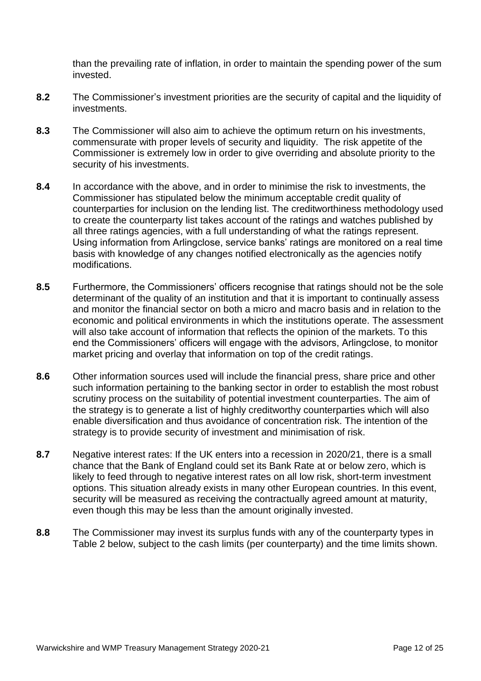than the prevailing rate of inflation, in order to maintain the spending power of the sum invested.

- **8.2** The Commissioner's investment priorities are the security of capital and the liquidity of investments.
- **8.3** The Commissioner will also aim to achieve the optimum return on his investments, commensurate with proper levels of security and liquidity. The risk appetite of the Commissioner is extremely low in order to give overriding and absolute priority to the security of his investments.
- **8.4** In accordance with the above, and in order to minimise the risk to investments, the Commissioner has stipulated below the minimum acceptable credit quality of counterparties for inclusion on the lending list. The creditworthiness methodology used to create the counterparty list takes account of the ratings and watches published by all three ratings agencies, with a full understanding of what the ratings represent. Using information from Arlingclose, service banks' ratings are monitored on a real time basis with knowledge of any changes notified electronically as the agencies notify modifications.
- **8.5** Furthermore, the Commissioners' officers recognise that ratings should not be the sole determinant of the quality of an institution and that it is important to continually assess and monitor the financial sector on both a micro and macro basis and in relation to the economic and political environments in which the institutions operate. The assessment will also take account of information that reflects the opinion of the markets. To this end the Commissioners' officers will engage with the advisors, Arlingclose, to monitor market pricing and overlay that information on top of the credit ratings.
- **8.6** Other information sources used will include the financial press, share price and other such information pertaining to the banking sector in order to establish the most robust scrutiny process on the suitability of potential investment counterparties. The aim of the strategy is to generate a list of highly creditworthy counterparties which will also enable diversification and thus avoidance of concentration risk. The intention of the strategy is to provide security of investment and minimisation of risk.
- **8.7** Negative interest rates: If the UK enters into a recession in 2020/21, there is a small chance that the Bank of England could set its Bank Rate at or below zero, which is likely to feed through to negative interest rates on all low risk, short-term investment options. This situation already exists in many other European countries. In this event, security will be measured as receiving the contractually agreed amount at maturity, even though this may be less than the amount originally invested.
- **8.8** The Commissioner may invest its surplus funds with any of the counterparty types in Table 2 below, subject to the cash limits (per counterparty) and the time limits shown.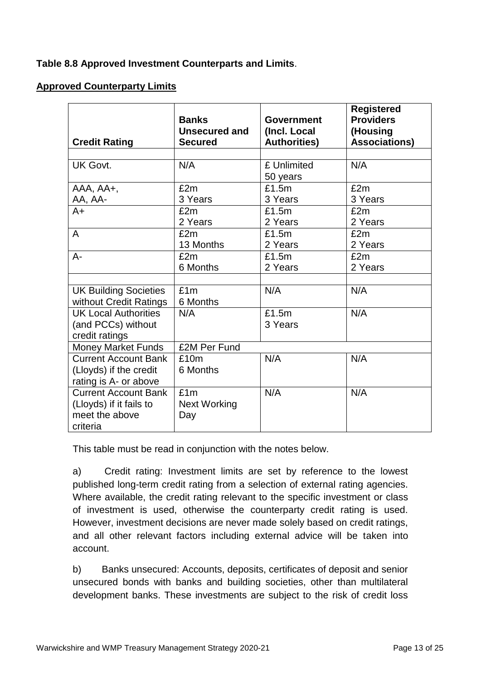# **Table 8.8 Approved Investment Counterparts and Limits**.

## **Approved Counterparty Limits**

| <b>Credit Rating</b>                                  | <b>Banks</b><br><b>Unsecured and</b><br><b>Secured</b> | <b>Government</b><br>(Incl. Local<br><b>Authorities)</b> | <b>Registered</b><br><b>Providers</b><br>(Housing<br><b>Associations)</b> |
|-------------------------------------------------------|--------------------------------------------------------|----------------------------------------------------------|---------------------------------------------------------------------------|
|                                                       |                                                        |                                                          |                                                                           |
| <b>UK Govt.</b>                                       | N/A                                                    | £ Unlimited<br>50 years                                  | N/A                                                                       |
| AAA, AA+,                                             | £2m                                                    | £1.5m                                                    | £2m                                                                       |
| AA, AA-                                               | 3 Years                                                | 3 Years                                                  | 3 Years                                                                   |
| A+                                                    | £2m                                                    | £1.5m                                                    | £2m                                                                       |
|                                                       | 2 Years                                                | 2 Years                                                  | 2 Years                                                                   |
| A                                                     | £2m                                                    | £1.5m                                                    | £2m                                                                       |
|                                                       | 13 Months                                              | 2 Years                                                  | 2 Years                                                                   |
| $A -$                                                 | £2m                                                    | £1.5m                                                    | £2m                                                                       |
|                                                       | 6 Months                                               | 2 Years                                                  | 2 Years                                                                   |
|                                                       |                                                        |                                                          |                                                                           |
| <b>UK Building Societies</b>                          | £1m<br>6 Months                                        | N/A                                                      | N/A                                                                       |
| without Credit Ratings<br><b>UK Local Authorities</b> | N/A                                                    | £1.5m                                                    | N/A                                                                       |
| (and PCCs) without                                    |                                                        | 3 Years                                                  |                                                                           |
| credit ratings                                        |                                                        |                                                          |                                                                           |
| <b>Money Market Funds</b>                             | £2M Per Fund                                           |                                                          |                                                                           |
| <b>Current Account Bank</b>                           | £10m                                                   | N/A                                                      | N/A                                                                       |
| (Lloyds) if the credit                                | 6 Months                                               |                                                          |                                                                           |
| rating is A- or above                                 |                                                        |                                                          |                                                                           |
| <b>Current Account Bank</b>                           | £1m                                                    | N/A                                                      | N/A                                                                       |
| (Lloyds) if it fails to                               | <b>Next Working</b>                                    |                                                          |                                                                           |
| meet the above                                        | Day                                                    |                                                          |                                                                           |
| criteria                                              |                                                        |                                                          |                                                                           |

This table must be read in conjunction with the notes below.

a) Credit rating: Investment limits are set by reference to the lowest published long-term credit rating from a selection of external rating agencies. Where available, the credit rating relevant to the specific investment or class of investment is used, otherwise the counterparty credit rating is used. However, investment decisions are never made solely based on credit ratings, and all other relevant factors including external advice will be taken into account.

b) Banks unsecured: Accounts, deposits, certificates of deposit and senior unsecured bonds with banks and building societies, other than multilateral development banks. These investments are subject to the risk of credit loss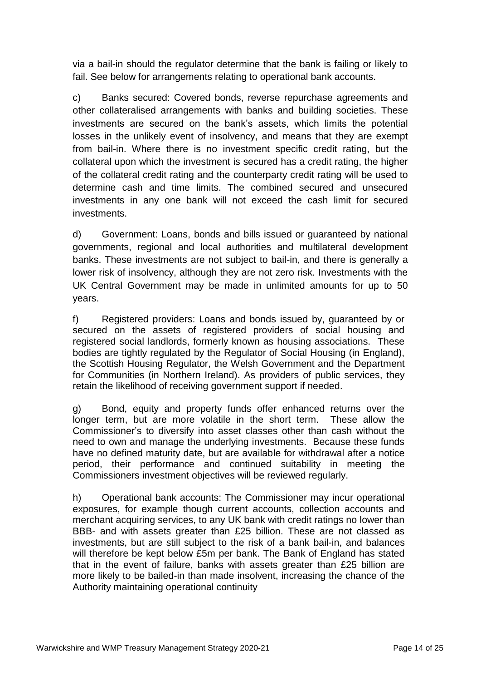via a bail-in should the regulator determine that the bank is failing or likely to fail. See below for arrangements relating to operational bank accounts.

c) Banks secured: Covered bonds, reverse repurchase agreements and other collateralised arrangements with banks and building societies. These investments are secured on the bank's assets, which limits the potential losses in the unlikely event of insolvency, and means that they are exempt from bail-in. Where there is no investment specific credit rating, but the collateral upon which the investment is secured has a credit rating, the higher of the collateral credit rating and the counterparty credit rating will be used to determine cash and time limits. The combined secured and unsecured investments in any one bank will not exceed the cash limit for secured investments.

d) Government: Loans, bonds and bills issued or guaranteed by national governments, regional and local authorities and multilateral development banks. These investments are not subject to bail-in, and there is generally a lower risk of insolvency, although they are not zero risk. Investments with the UK Central Government may be made in unlimited amounts for up to 50 years.

f) Registered providers: Loans and bonds issued by, guaranteed by or secured on the assets of registered providers of social housing and registered social landlords, formerly known as housing associations. These bodies are tightly regulated by the Regulator of Social Housing (in England), the Scottish Housing Regulator, the Welsh Government and the Department for Communities (in Northern Ireland). As providers of public services, they retain the likelihood of receiving government support if needed.

g) Bond, equity and property funds offer enhanced returns over the longer term, but are more volatile in the short term. These allow the Commissioner's to diversify into asset classes other than cash without the need to own and manage the underlying investments. Because these funds have no defined maturity date, but are available for withdrawal after a notice period, their performance and continued suitability in meeting the Commissioners investment objectives will be reviewed regularly.

h) Operational bank accounts: The Commissioner may incur operational exposures, for example though current accounts, collection accounts and merchant acquiring services, to any UK bank with credit ratings no lower than BBB- and with assets greater than £25 billion. These are not classed as investments, but are still subject to the risk of a bank bail-in, and balances will therefore be kept below £5m per bank. The Bank of England has stated that in the event of failure, banks with assets greater than £25 billion are more likely to be bailed-in than made insolvent, increasing the chance of the Authority maintaining operational continuity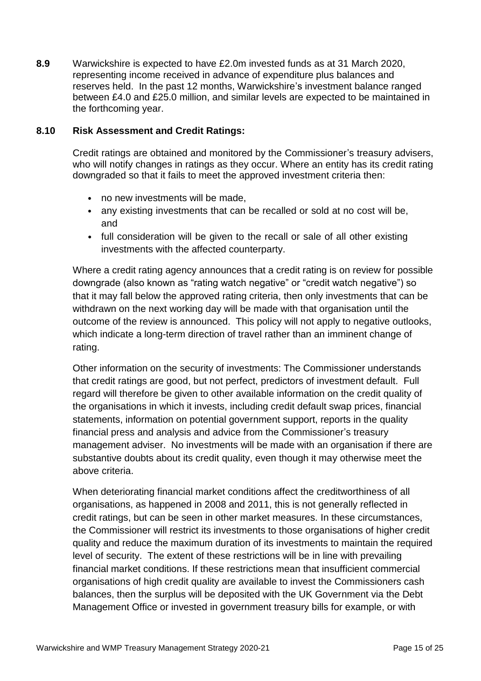**8.9** Warwickshire is expected to have £2.0m invested funds as at 31 March 2020, representing income received in advance of expenditure plus balances and reserves held. In the past 12 months, Warwickshire's investment balance ranged between £4.0 and £25.0 million, and similar levels are expected to be maintained in the forthcoming year.

## **8.10 Risk Assessment and Credit Ratings:**

Credit ratings are obtained and monitored by the Commissioner's treasury advisers, who will notify changes in ratings as they occur. Where an entity has its credit rating downgraded so that it fails to meet the approved investment criteria then:

- no new investments will be made,
- any existing investments that can be recalled or sold at no cost will be, and
- full consideration will be given to the recall or sale of all other existing investments with the affected counterparty.

Where a credit rating agency announces that a credit rating is on review for possible downgrade (also known as "rating watch negative" or "credit watch negative") so that it may fall below the approved rating criteria, then only investments that can be withdrawn on the next working day will be made with that organisation until the outcome of the review is announced. This policy will not apply to negative outlooks, which indicate a long-term direction of travel rather than an imminent change of rating.

Other information on the security of investments: The Commissioner understands that credit ratings are good, but not perfect, predictors of investment default. Full regard will therefore be given to other available information on the credit quality of the organisations in which it invests, including credit default swap prices, financial statements, information on potential government support, reports in the quality financial press and analysis and advice from the Commissioner's treasury management adviser. No investments will be made with an organisation if there are substantive doubts about its credit quality, even though it may otherwise meet the above criteria.

When deteriorating financial market conditions affect the creditworthiness of all organisations, as happened in 2008 and 2011, this is not generally reflected in credit ratings, but can be seen in other market measures. In these circumstances, the Commissioner will restrict its investments to those organisations of higher credit quality and reduce the maximum duration of its investments to maintain the required level of security. The extent of these restrictions will be in line with prevailing financial market conditions. If these restrictions mean that insufficient commercial organisations of high credit quality are available to invest the Commissioners cash balances, then the surplus will be deposited with the UK Government via the Debt Management Office or invested in government treasury bills for example, or with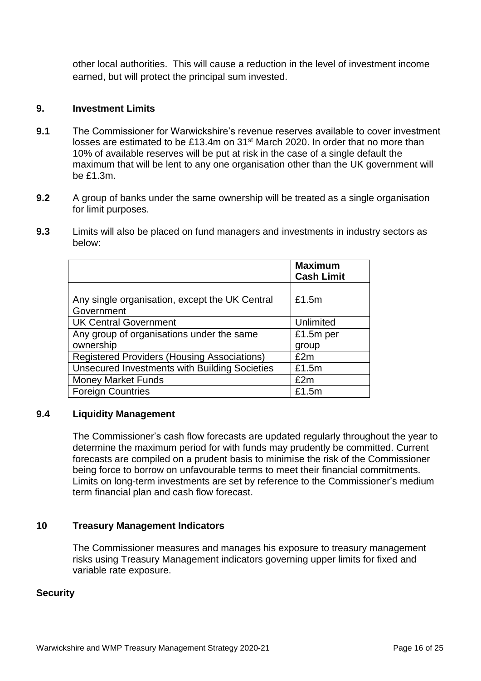other local authorities. This will cause a reduction in the level of investment income earned, but will protect the principal sum invested.

## **9. Investment Limits**

- **9.1** The Commissioner for Warwickshire's revenue reserves available to cover investment losses are estimated to be £13.4m on 31<sup>st</sup> March 2020. In order that no more than 10% of available reserves will be put at risk in the case of a single default the maximum that will be lent to any one organisation other than the UK government will be £1.3m.
- **9.2** A group of banks under the same ownership will be treated as a single organisation for limit purposes.
- **9.3** Limits will also be placed on fund managers and investments in industry sectors as below:

|                                                      | <b>Maximum</b><br><b>Cash Limit</b> |
|------------------------------------------------------|-------------------------------------|
|                                                      |                                     |
| Any single organisation, except the UK Central       | £1.5m                               |
| Government                                           |                                     |
| <b>UK Central Government</b>                         | Unlimited                           |
| Any group of organisations under the same            | £1.5m per                           |
| ownership                                            | group                               |
| <b>Registered Providers (Housing Associations)</b>   | £2m                                 |
| <b>Unsecured Investments with Building Societies</b> | £1.5m                               |
| <b>Money Market Funds</b>                            | £2m                                 |
| <b>Foreign Countries</b>                             | £1.5m                               |

## **9.4 Liquidity Management**

The Commissioner's cash flow forecasts are updated regularly throughout the year to determine the maximum period for with funds may prudently be committed. Current forecasts are compiled on a prudent basis to minimise the risk of the Commissioner being force to borrow on unfavourable terms to meet their financial commitments. Limits on long-term investments are set by reference to the Commissioner's medium term financial plan and cash flow forecast.

## **10 Treasury Management Indicators**

The Commissioner measures and manages his exposure to treasury management risks using Treasury Management indicators governing upper limits for fixed and variable rate exposure.

### **Security**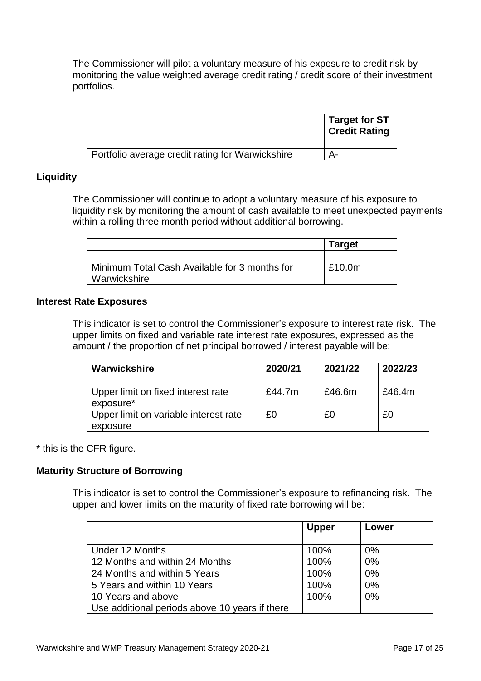The Commissioner will pilot a voluntary measure of his exposure to credit risk by monitoring the value weighted average credit rating / credit score of their investment portfolios.

|                                                  | Target for ST<br><b>Credit Rating</b> |
|--------------------------------------------------|---------------------------------------|
|                                                  |                                       |
| Portfolio average credit rating for Warwickshire |                                       |

## **Liquidity**

The Commissioner will continue to adopt a voluntary measure of his exposure to liquidity risk by monitoring the amount of cash available to meet unexpected payments within a rolling three month period without additional borrowing.

|                                                               | <b>Target</b> |
|---------------------------------------------------------------|---------------|
|                                                               |               |
| Minimum Total Cash Available for 3 months for<br>Warwickshire | £10.0m        |

### **Interest Rate Exposures**

This indicator is set to control the Commissioner's exposure to interest rate risk. The upper limits on fixed and variable rate interest rate exposures, expressed as the amount / the proportion of net principal borrowed / interest payable will be:

| Warwickshire                                      | 2020/21 | 2021/22 | 2022/23 |
|---------------------------------------------------|---------|---------|---------|
|                                                   |         |         |         |
| Upper limit on fixed interest rate<br>exposure*   | £44.7m  | £46.6m  | £46.4m  |
| Upper limit on variable interest rate<br>exposure | £0      | £0      | £Ο      |

\* this is the CFR figure.

### **Maturity Structure of Borrowing**

This indicator is set to control the Commissioner's exposure to refinancing risk. The upper and lower limits on the maturity of fixed rate borrowing will be:

|                                                | <b>Upper</b> | Lower |
|------------------------------------------------|--------------|-------|
|                                                |              |       |
| Under 12 Months                                | 100%         | 0%    |
| 12 Months and within 24 Months                 | 100%         | 0%    |
| 24 Months and within 5 Years                   | 100%         | 0%    |
| 5 Years and within 10 Years                    | 100%         | 0%    |
| 10 Years and above                             | 100%         | 0%    |
| Use additional periods above 10 years if there |              |       |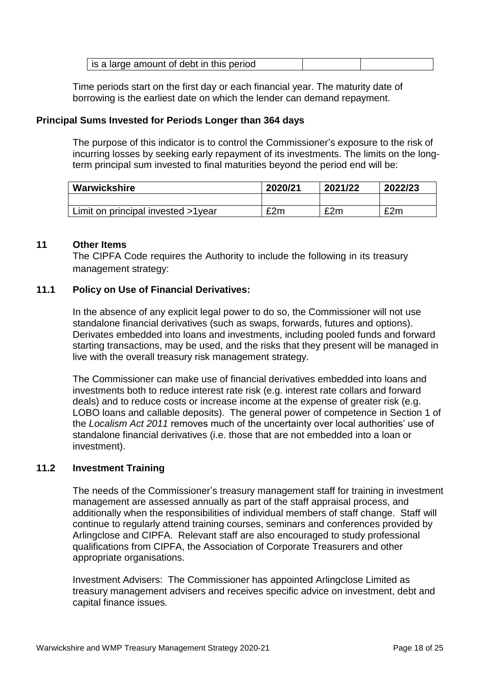| is a large amount of debt in this period |  |  |
|------------------------------------------|--|--|
|------------------------------------------|--|--|

Time periods start on the first day or each financial year. The maturity date of borrowing is the earliest date on which the lender can demand repayment.

## **Principal Sums Invested for Periods Longer than 364 days**

The purpose of this indicator is to control the Commissioner's exposure to the risk of incurring losses by seeking early repayment of its investments. The limits on the longterm principal sum invested to final maturities beyond the period end will be:

| Warwickshire                       | 2020/21 | 2021/22 | 2022/23 |
|------------------------------------|---------|---------|---------|
|                                    |         |         |         |
| Limit on principal invested >1year | £2m     | £2m     | £2m     |

### **11 Other Items**

The CIPFA Code requires the Authority to include the following in its treasury management strategy:

### **11.1 Policy on Use of Financial Derivatives:**

In the absence of any explicit legal power to do so, the Commissioner will not use standalone financial derivatives (such as swaps, forwards, futures and options). Derivates embedded into loans and investments, including pooled funds and forward starting transactions, may be used, and the risks that they present will be managed in live with the overall treasury risk management strategy.

The Commissioner can make use of financial derivatives embedded into loans and investments both to reduce interest rate risk (e.g. interest rate collars and forward deals) and to reduce costs or increase income at the expense of greater risk (e.g. LOBO loans and callable deposits). The general power of competence in Section 1 of the *Localism Act 2011* removes much of the uncertainty over local authorities' use of standalone financial derivatives (i.e. those that are not embedded into a loan or investment).

### **11.2 Investment Training**

The needs of the Commissioner's treasury management staff for training in investment management are assessed annually as part of the staff appraisal process, and additionally when the responsibilities of individual members of staff change. Staff will continue to regularly attend training courses, seminars and conferences provided by Arlingclose and CIPFA. Relevant staff are also encouraged to study professional qualifications from CIPFA, the Association of Corporate Treasurers and other appropriate organisations.

Investment Advisers: The Commissioner has appointed Arlingclose Limited as treasury management advisers and receives specific advice on investment, debt and capital finance issues.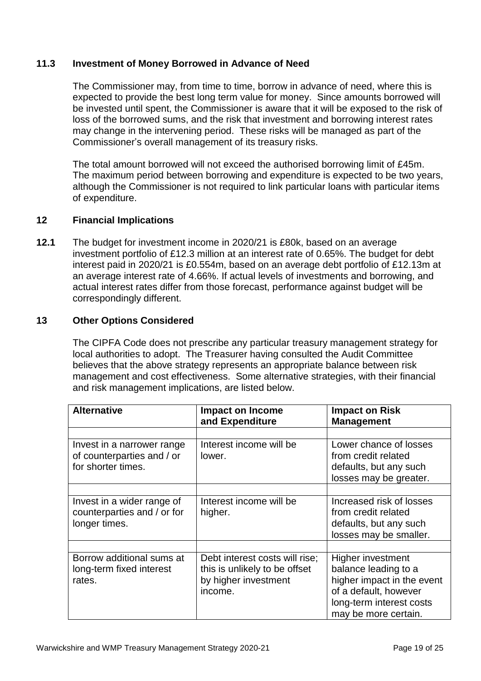## **11.3 Investment of Money Borrowed in Advance of Need**

The Commissioner may, from time to time, borrow in advance of need, where this is expected to provide the best long term value for money. Since amounts borrowed will be invested until spent, the Commissioner is aware that it will be exposed to the risk of loss of the borrowed sums, and the risk that investment and borrowing interest rates may change in the intervening period. These risks will be managed as part of the Commissioner's overall management of its treasury risks.

The total amount borrowed will not exceed the authorised borrowing limit of £45m. The maximum period between borrowing and expenditure is expected to be two years, although the Commissioner is not required to link particular loans with particular items of expenditure.

## **12 Financial Implications**

**12.1** The budget for investment income in 2020/21 is £80k, based on an average investment portfolio of £12.3 million at an interest rate of 0.65%. The budget for debt interest paid in 2020/21 is £0.554m, based on an average debt portfolio of £12.13m at an average interest rate of 4.66%. If actual levels of investments and borrowing, and actual interest rates differ from those forecast, performance against budget will be correspondingly different.

### **13 Other Options Considered**

The CIPFA Code does not prescribe any particular treasury management strategy for local authorities to adopt. The Treasurer having consulted the Audit Committee believes that the above strategy represents an appropriate balance between risk management and cost effectiveness. Some alternative strategies, with their financial and risk management implications, are listed below.

| <b>Alternative</b>                                                             | <b>Impact on Income</b><br>and Expenditure                                                         | <b>Impact on Risk</b><br><b>Management</b>                                                                                                                  |
|--------------------------------------------------------------------------------|----------------------------------------------------------------------------------------------------|-------------------------------------------------------------------------------------------------------------------------------------------------------------|
|                                                                                |                                                                                                    |                                                                                                                                                             |
| Invest in a narrower range<br>of counterparties and / or<br>for shorter times. | Interest income will be<br>lower.                                                                  | Lower chance of losses<br>from credit related<br>defaults, but any such<br>losses may be greater.                                                           |
|                                                                                |                                                                                                    |                                                                                                                                                             |
| Invest in a wider range of<br>counterparties and / or for<br>longer times.     | Interest income will be<br>higher.                                                                 | Increased risk of losses<br>from credit related<br>defaults, but any such<br>losses may be smaller.                                                         |
|                                                                                |                                                                                                    |                                                                                                                                                             |
| Borrow additional sums at<br>long-term fixed interest<br>rates.                | Debt interest costs will rise;<br>this is unlikely to be offset<br>by higher investment<br>income. | <b>Higher investment</b><br>balance leading to a<br>higher impact in the event<br>of a default, however<br>long-term interest costs<br>may be more certain. |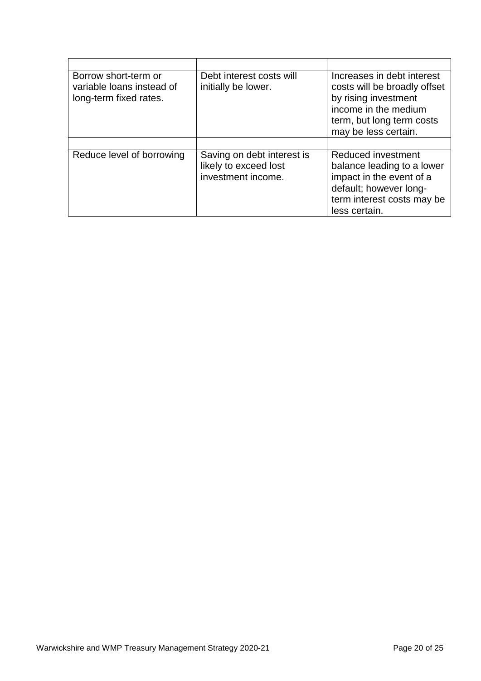| Borrow short-term or<br>variable loans instead of<br>long-term fixed rates. | Debt interest costs will<br>initially be lower.                           | Increases in debt interest<br>costs will be broadly offset<br>by rising investment<br>income in the medium<br>term, but long term costs<br>may be less certain. |
|-----------------------------------------------------------------------------|---------------------------------------------------------------------------|-----------------------------------------------------------------------------------------------------------------------------------------------------------------|
|                                                                             |                                                                           |                                                                                                                                                                 |
| Reduce level of borrowing                                                   | Saving on debt interest is<br>likely to exceed lost<br>investment income. | Reduced investment<br>balance leading to a lower<br>impact in the event of a<br>default; however long-<br>term interest costs may be<br>less certain.           |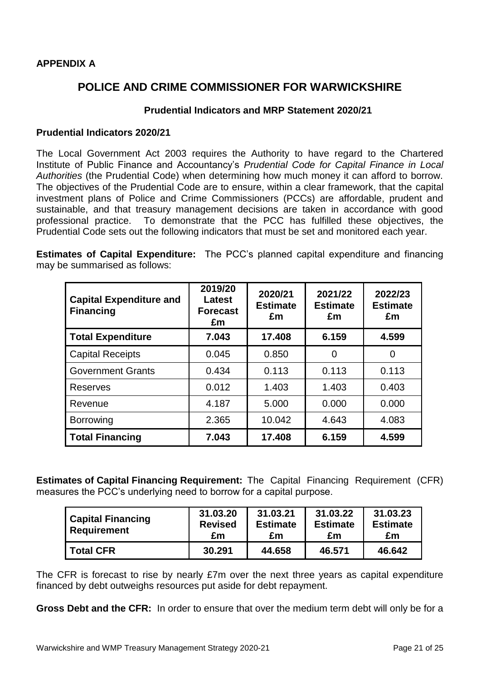# **APPENDIX A**

# **POLICE AND CRIME COMMISSIONER FOR WARWICKSHIRE**

## **Prudential Indicators and MRP Statement 2020/21**

### **Prudential Indicators 2020/21**

The Local Government Act 2003 requires the Authority to have regard to the Chartered Institute of Public Finance and Accountancy's *Prudential Code for Capital Finance in Local Authorities* (the Prudential Code) when determining how much money it can afford to borrow. The objectives of the Prudential Code are to ensure, within a clear framework, that the capital investment plans of Police and Crime Commissioners (PCCs) are affordable, prudent and sustainable, and that treasury management decisions are taken in accordance with good professional practice. To demonstrate that the PCC has fulfilled these objectives, the Prudential Code sets out the following indicators that must be set and monitored each year.

**Estimates of Capital Expenditure:** The PCC's planned capital expenditure and financing may be summarised as follows:

| <b>Capital Expenditure and</b><br><b>Financing</b> | 2019/20<br><b>Latest</b><br><b>Forecast</b><br>£m | 2020/21<br><b>Estimate</b><br>£m | 2021/22<br><b>Estimate</b><br>£m | 2022/23<br><b>Estimate</b><br>£m |
|----------------------------------------------------|---------------------------------------------------|----------------------------------|----------------------------------|----------------------------------|
| <b>Total Expenditure</b>                           | 7.043                                             | 17.408                           | 6.159                            | 4.599                            |
| <b>Capital Receipts</b>                            | 0.045                                             | 0.850                            | 0                                | 0                                |
| <b>Government Grants</b>                           | 0.434                                             | 0.113                            | 0.113                            | 0.113                            |
| <b>Reserves</b>                                    | 0.012                                             | 1.403                            | 1.403                            | 0.403                            |
| Revenue                                            | 4.187                                             | 5.000                            | 0.000                            | 0.000                            |
| <b>Borrowing</b>                                   | 2.365                                             | 10.042                           | 4.643                            | 4.083                            |
| <b>Total Financing</b>                             | 7.043                                             | 17.408                           | 6.159                            | 4.599                            |

**Estimates of Capital Financing Requirement:** The Capital Financing Requirement (CFR) measures the PCC's underlying need to borrow for a capital purpose.

| <b>Capital Financing</b><br><b>Requirement</b> | 31.03.20<br><b>Revised</b><br>£m | 31.03.21<br><b>Estimate</b><br>£m | 31.03.22<br><b>Estimate</b><br>£m | 31.03.23<br><b>Estimate</b><br>£m |
|------------------------------------------------|----------------------------------|-----------------------------------|-----------------------------------|-----------------------------------|
| <b>Total CFR</b>                               | 30.291                           | 44.658                            | 46.571                            | 46.642                            |

The CFR is forecast to rise by nearly £7m over the next three years as capital expenditure financed by debt outweighs resources put aside for debt repayment.

**Gross Debt and the CFR:** In order to ensure that over the medium term debt will only be for a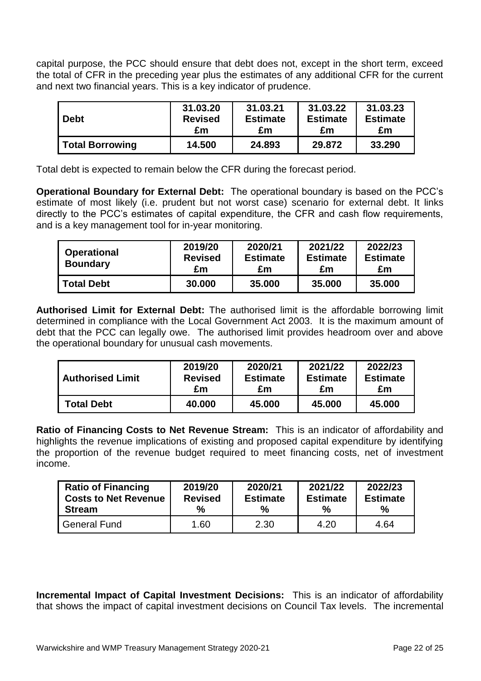capital purpose, the PCC should ensure that debt does not, except in the short term, exceed the total of CFR in the preceding year plus the estimates of any additional CFR for the current and next two financial years. This is a key indicator of prudence.

| <b>Debt</b>     | 31.03.20       | 31.03.21        | 31.03.22        | 31.03.23        |
|-----------------|----------------|-----------------|-----------------|-----------------|
|                 | <b>Revised</b> | <b>Estimate</b> | <b>Estimate</b> | <b>Estimate</b> |
|                 | £m             | £m              | £m              | £m              |
| Total Borrowing | 14.500         | 24.893          | 29,872          | 33,290          |

Total debt is expected to remain below the CFR during the forecast period.

**Operational Boundary for External Debt:** The operational boundary is based on the PCC's estimate of most likely (i.e. prudent but not worst case) scenario for external debt. It links directly to the PCC's estimates of capital expenditure, the CFR and cash flow requirements, and is a key management tool for in-year monitoring.

| <b>Operational</b><br><b>Boundary</b> | 2019/20<br><b>Revised</b><br>£m | 2020/21<br><b>Estimate</b><br>£m | 2021/22<br><b>Estimate</b><br>£m | 2022/23<br><b>Estimate</b><br>£m |
|---------------------------------------|---------------------------------|----------------------------------|----------------------------------|----------------------------------|
| <b>Total Debt</b>                     | 30,000                          | 35,000                           | 35,000                           | 35,000                           |

**Authorised Limit for External Debt:** The authorised limit is the affordable borrowing limit determined in compliance with the Local Government Act 2003. It is the maximum amount of debt that the PCC can legally owe. The authorised limit provides headroom over and above the operational boundary for unusual cash movements.

| <b>Authorised Limit</b> | 2019/20        | 2020/21         | 2021/22         | 2022/23         |
|-------------------------|----------------|-----------------|-----------------|-----------------|
|                         | <b>Revised</b> | <b>Estimate</b> | <b>Estimate</b> | <b>Estimate</b> |
|                         | £m             | £m              | £m              | £m              |
| Total Debt              | 40.000         | 45,000          | 45,000          | 45,000          |

**Ratio of Financing Costs to Net Revenue Stream:** This is an indicator of affordability and highlights the revenue implications of existing and proposed capital expenditure by identifying the proportion of the revenue budget required to meet financing costs, net of investment income.

| <b>Ratio of Financing</b>   | 2019/20        | 2020/21         | 2021/22         | 2022/23         |
|-----------------------------|----------------|-----------------|-----------------|-----------------|
| <b>Costs to Net Revenue</b> | <b>Revised</b> | <b>Estimate</b> | <b>Estimate</b> | <b>Estimate</b> |
| <b>Stream</b>               | %              | $\frac{1}{2}$   | $\%$            | $\%$            |
| <b>General Fund</b>         | 1.60           | 2.30            | 4.20            | 4.64            |

**Incremental Impact of Capital Investment Decisions:** This is an indicator of affordability that shows the impact of capital investment decisions on Council Tax levels. The incremental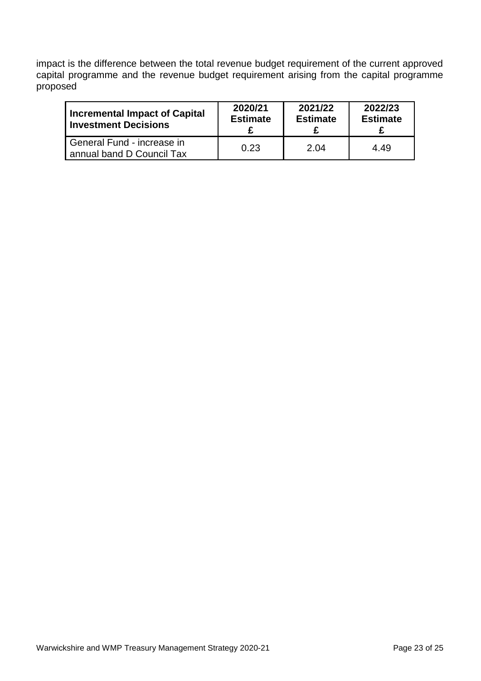impact is the difference between the total revenue budget requirement of the current approved capital programme and the revenue budget requirement arising from the capital programme proposed

| Incremental Impact of Capital                             | 2020/21         | 2021/22         | 2022/23         |
|-----------------------------------------------------------|-----------------|-----------------|-----------------|
| I Investment Decisions                                    | <b>Estimate</b> | <b>Estimate</b> | <b>Estimate</b> |
| l General Fund - increase in<br>annual band D Council Tax | 0.23            | 2.04            | 4.49            |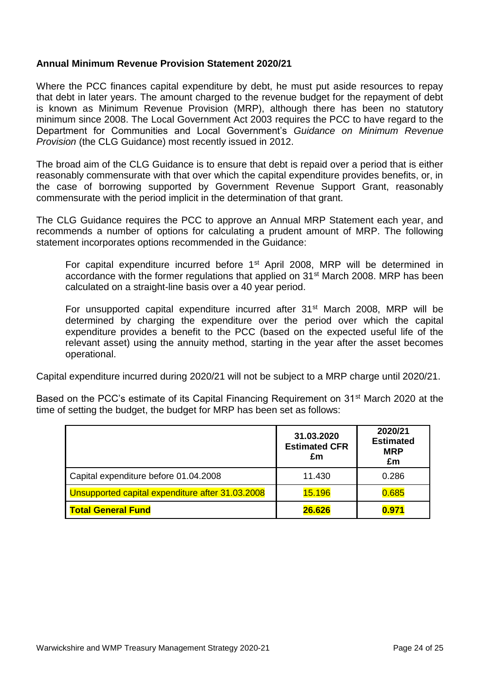## **Annual Minimum Revenue Provision Statement 2020/21**

Where the PCC finances capital expenditure by debt, he must put aside resources to repay that debt in later years. The amount charged to the revenue budget for the repayment of debt is known as Minimum Revenue Provision (MRP), although there has been no statutory minimum since 2008. The Local Government Act 2003 requires the PCC to have regard to the Department for Communities and Local Government's *Guidance on Minimum Revenue Provision* (the CLG Guidance) most recently issued in 2012.

The broad aim of the CLG Guidance is to ensure that debt is repaid over a period that is either reasonably commensurate with that over which the capital expenditure provides benefits, or, in the case of borrowing supported by Government Revenue Support Grant, reasonably commensurate with the period implicit in the determination of that grant.

The CLG Guidance requires the PCC to approve an Annual MRP Statement each year, and recommends a number of options for calculating a prudent amount of MRP. The following statement incorporates options recommended in the Guidance:

For capital expenditure incurred before 1<sup>st</sup> April 2008, MRP will be determined in accordance with the former regulations that applied on 31st March 2008. MRP has been calculated on a straight-line basis over a 40 year period.

For unsupported capital expenditure incurred after 31<sup>st</sup> March 2008, MRP will be determined by charging the expenditure over the period over which the capital expenditure provides a benefit to the PCC (based on the expected useful life of the relevant asset) using the annuity method, starting in the year after the asset becomes operational.

Capital expenditure incurred during 2020/21 will not be subject to a MRP charge until 2020/21.

Based on the PCC's estimate of its Capital Financing Requirement on 31<sup>st</sup> March 2020 at the time of setting the budget, the budget for MRP has been set as follows:

|                                                  | 31.03.2020<br><b>Estimated CFR</b><br>£m | 2020/21<br><b>Estimated</b><br><b>MRP</b><br>£m |
|--------------------------------------------------|------------------------------------------|-------------------------------------------------|
| Capital expenditure before 01.04.2008            | 11.430                                   | 0.286                                           |
| Unsupported capital expenditure after 31.03.2008 | 15.196                                   | 0.685                                           |
| <b>Total General Fund</b>                        | 26.626                                   | 0.971                                           |